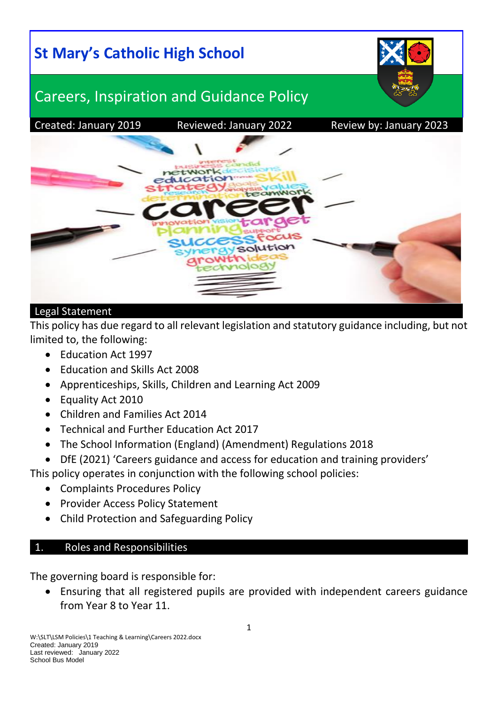

#### Legal Statement

This policy has due regard to all relevant legislation and statutory guidance including, but not limited to, the following:

- Education Act 1997
- Education and Skills Act 2008
- Apprenticeships, Skills, Children and Learning Act 2009
- Equality Act 2010
- Children and Families Act 2014
- Technical and Further Education Act 2017
- The School Information (England) (Amendment) Regulations 2018
- DfE (2021) 'Careers guidance and access for education and training providers'

This policy operates in conjunction with the following school policies:

- Complaints Procedures Policy
- Provider Access Policy Statement
- Child Protection and Safeguarding Policy

## 1. Roles and Responsibilities

The governing board is responsible for:

 Ensuring that all registered pupils are provided with independent careers guidance from Year 8 to Year 11.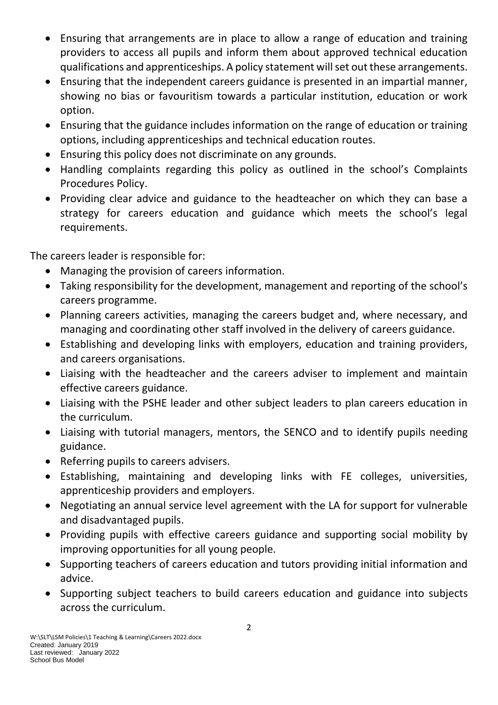- Ensuring that arrangements are in place to allow a range of education and training providers to access all pupils and inform them about approved technical education qualifications and apprenticeships. A policy statement will set out these arrangements.
- Ensuring that the independent careers guidance is presented in an impartial manner, showing no bias or favouritism towards a particular institution, education or work option.
- Ensuring that the guidance includes information on the range of education or training options, including apprenticeships and technical education routes.
- Ensuring this policy does not discriminate on any grounds.
- Handling complaints regarding this policy as outlined in the school's Complaints Procedures Policy.
- Providing clear advice and guidance to the headteacher on which they can base a strategy for careers education and guidance which meets the school's legal requirements.

The careers leader is responsible for:

- Managing the provision of careers information.
- Taking responsibility for the development, management and reporting of the school's careers programme.
- Planning careers activities, managing the careers budget and, where necessary, and managing and coordinating other staff involved in the delivery of careers guidance.
- Establishing and developing links with employers, education and training providers, and careers organisations.
- Liaising with the headteacher and the careers adviser to implement and maintain effective careers guidance.
- Liaising with the PSHE leader and other subject leaders to plan careers education in the curriculum.
- Liaising with tutorial managers, mentors, the SENCO and to identify pupils needing guidance.
- Referring pupils to careers advisers.
- Establishing, maintaining and developing links with FE colleges, universities, apprenticeship providers and employers.
- Negotiating an annual service level agreement with the LA for support for vulnerable and disadvantaged pupils.
- Providing pupils with effective careers guidance and supporting social mobility by improving opportunities for all young people.
- Supporting teachers of careers education and tutors providing initial information and advice.
- Supporting subject teachers to build careers education and guidance into subjects across the curriculum.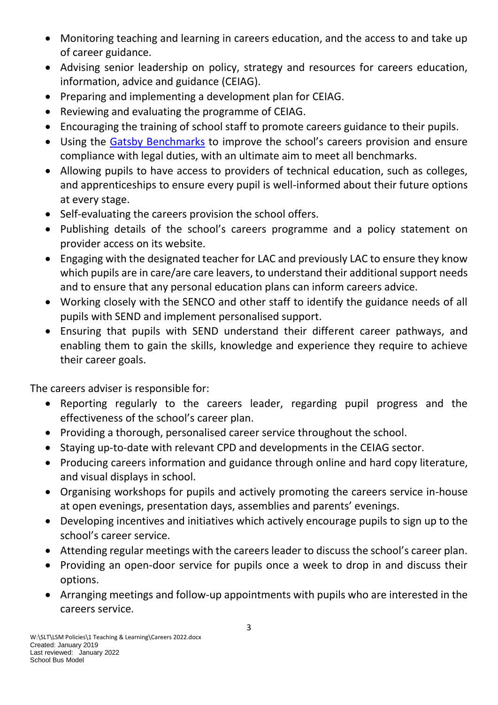- Monitoring teaching and learning in careers education, and the access to and take up of career guidance.
- Advising senior leadership on policy, strategy and resources for careers education, information, advice and guidance (CEIAG).
- Preparing and implementing a development plan for CEIAG.
- Reviewing and evaluating the programme of CEIAG.
- Encouraging the training of school staff to promote careers guidance to their pupils.
- Using the [Gatsby Benchmarks](http://www.gatsby.org.uk/education/focus-areas/good-career-guidance) to improve the school's careers provision and ensure compliance with legal duties, with an ultimate aim to meet all benchmarks.
- Allowing pupils to have access to providers of technical education, such as colleges, and apprenticeships to ensure every pupil is well-informed about their future options at every stage.
- Self-evaluating the careers provision the school offers.
- Publishing details of the school's careers programme and a policy statement on provider access on its website.
- Engaging with the designated teacher for LAC and previously LAC to ensure they know which pupils are in care/are care leavers, to understand their additional support needs and to ensure that any personal education plans can inform careers advice.
- Working closely with the SENCO and other staff to identify the guidance needs of all pupils with SEND and implement personalised support.
- Ensuring that pupils with SEND understand their different career pathways, and enabling them to gain the skills, knowledge and experience they require to achieve their career goals.

The careers adviser is responsible for:

- Reporting regularly to the careers leader, regarding pupil progress and the effectiveness of the school's career plan.
- Providing a thorough, personalised career service throughout the school.
- Staying up-to-date with relevant CPD and developments in the CEIAG sector.
- Producing careers information and guidance through online and hard copy literature, and visual displays in school.
- Organising workshops for pupils and actively promoting the careers service in-house at open evenings, presentation days, assemblies and parents' evenings.
- Developing incentives and initiatives which actively encourage pupils to sign up to the school's career service.
- Attending regular meetings with the careers leader to discuss the school's career plan.
- Providing an open-door service for pupils once a week to drop in and discuss their options.
- Arranging meetings and follow-up appointments with pupils who are interested in the careers service.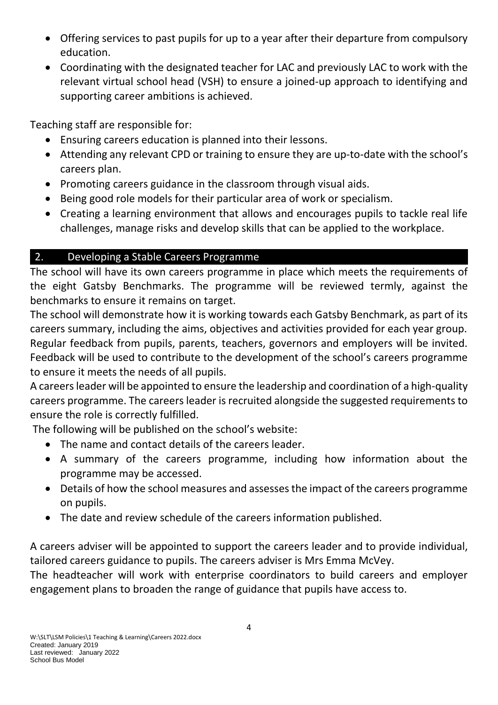- Offering services to past pupils for up to a year after their departure from compulsory education.
- Coordinating with the designated teacher for LAC and previously LAC to work with the relevant virtual school head (VSH) to ensure a joined-up approach to identifying and supporting career ambitions is achieved.

Teaching staff are responsible for:

- Ensuring careers education is planned into their lessons.
- Attending any relevant CPD or training to ensure they are up-to-date with the school's careers plan.
- Promoting careers guidance in the classroom through visual aids.
- Being good role models for their particular area of work or specialism.
- Creating a learning environment that allows and encourages pupils to tackle real life challenges, manage risks and develop skills that can be applied to the workplace.

# 2. Developing a Stable Careers Programme

The school will have its own careers programme in place which meets the requirements of the eight Gatsby Benchmarks. The programme will be reviewed termly, against the benchmarks to ensure it remains on target.

The school will demonstrate how it is working towards each Gatsby Benchmark, as part of its careers summary, including the aims, objectives and activities provided for each year group. Regular feedback from pupils, parents, teachers, governors and employers will be invited. Feedback will be used to contribute to the development of the school's careers programme to ensure it meets the needs of all pupils.

A careers leader will be appointed to ensure the leadership and coordination of a high-quality careers programme. The careers leader is recruited alongside the suggested requirements to ensure the role is correctly fulfilled.

The following will be published on the school's website:

- The name and contact details of the careers leader.
- A summary of the careers programme, including how information about the programme may be accessed.
- Details of how the school measures and assesses the impact of the careers programme on pupils.
- The date and review schedule of the careers information published.

A careers adviser will be appointed to support the careers leader and to provide individual, tailored careers guidance to pupils. The careers adviser is Mrs Emma McVey.

The headteacher will work with enterprise coordinators to build careers and employer engagement plans to broaden the range of guidance that pupils have access to.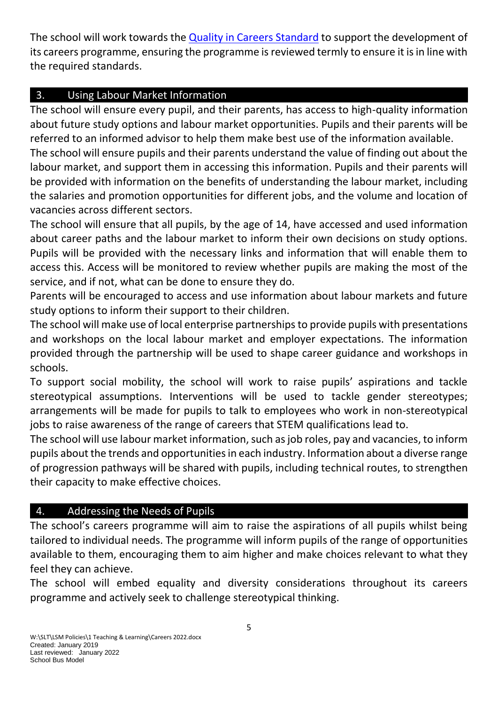The school will work towards the [Quality in Careers Standard](http://www.qualityincareers.org.uk/) to support the development of its careers programme, ensuring the programme is reviewed termly to ensure it is in line with the required standards.

# 3. Using Labour Market Information

The school will ensure every pupil, and their parents, has access to high-quality information about future study options and labour market opportunities. Pupils and their parents will be referred to an informed advisor to help them make best use of the information available.

The school will ensure pupils and their parents understand the value of finding out about the labour market, and support them in accessing this information. Pupils and their parents will be provided with information on the benefits of understanding the labour market, including the salaries and promotion opportunities for different jobs, and the volume and location of vacancies across different sectors.

The school will ensure that all pupils, by the age of 14, have accessed and used information about career paths and the labour market to inform their own decisions on study options. Pupils will be provided with the necessary links and information that will enable them to access this. Access will be monitored to review whether pupils are making the most of the service, and if not, what can be done to ensure they do.

Parents will be encouraged to access and use information about labour markets and future study options to inform their support to their children.

The school will make use of local enterprise partnerships to provide pupils with presentations and workshops on the local labour market and employer expectations. The information provided through the partnership will be used to shape career guidance and workshops in schools.

To support social mobility, the school will work to raise pupils' aspirations and tackle stereotypical assumptions. Interventions will be used to tackle gender stereotypes; arrangements will be made for pupils to talk to employees who work in non-stereotypical jobs to raise awareness of the range of careers that STEM qualifications lead to.

The school will use labour market information, such as job roles, pay and vacancies, to inform pupils about the trends and opportunities in each industry. Information about a diverse range of progression pathways will be shared with pupils, including technical routes, to strengthen their capacity to make effective choices.

## 4. Addressing the Needs of Pupils

The school's careers programme will aim to raise the aspirations of all pupils whilst being tailored to individual needs. The programme will inform pupils of the range of opportunities available to them, encouraging them to aim higher and make choices relevant to what they feel they can achieve.

The school will embed equality and diversity considerations throughout its careers programme and actively seek to challenge stereotypical thinking.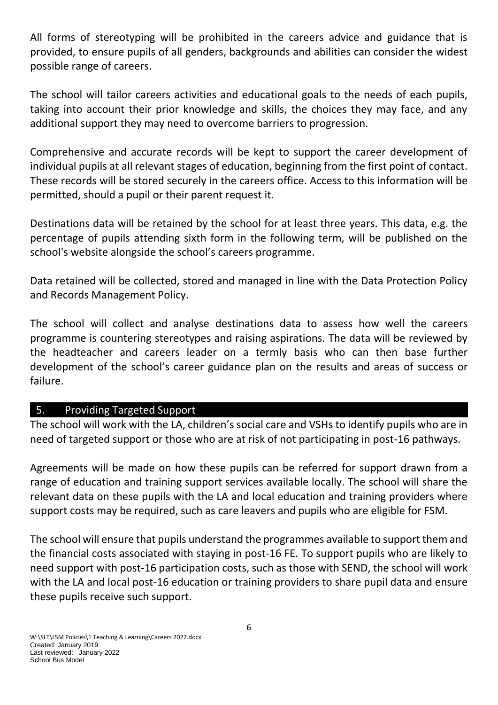All forms of stereotyping will be prohibited in the careers advice and guidance that is provided, to ensure pupils of all genders, backgrounds and abilities can consider the widest possible range of careers.

The school will tailor careers activities and educational goals to the needs of each pupils, taking into account their prior knowledge and skills, the choices they may face, and any additional support they may need to overcome barriers to progression.

Comprehensive and accurate records will be kept to support the career development of individual pupils at all relevant stages of education, beginning from the first point of contact. These records will be stored securely in the careers office. Access to this information will be permitted, should a pupil or their parent request it.

Destinations data will be retained by the school for at least three years. This data, e.g. the percentage of pupils attending sixth form in the following term, will be published on the school's website alongside the school's careers programme.

Data retained will be collected, stored and managed in line with the Data Protection Policy and Records Management Policy.

The school will collect and analyse destinations data to assess how well the careers programme is countering stereotypes and raising aspirations. The data will be reviewed by the headteacher and careers leader on a termly basis who can then base further development of the school's career guidance plan on the results and areas of success or failure.

#### 5. Providing Targeted Support

The school will work with the LA, children's social care and VSHs to identify pupils who are in need of targeted support or those who are at risk of not participating in post-16 pathways.

Agreements will be made on how these pupils can be referred for support drawn from a range of education and training support services available locally. The school will share the relevant data on these pupils with the LA and local education and training providers where support costs may be required, such as care leavers and pupils who are eligible for FSM.

The school will ensure that pupils understand the programmes available to support them and the financial costs associated with staying in post-16 FE. To support pupils who are likely to need support with post-16 participation costs, such as those with SEND, the school will work with the LA and local post-16 education or training providers to share pupil data and ensure these pupils receive such support.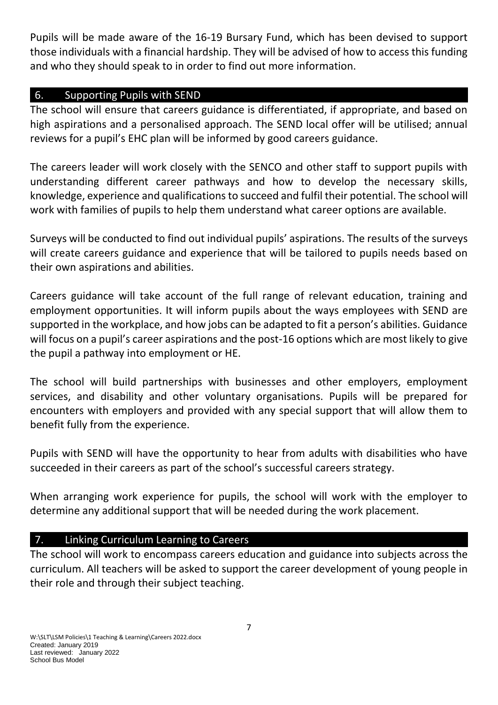Pupils will be made aware of the 16-19 Bursary Fund, which has been devised to support those individuals with a financial hardship. They will be advised of how to access this funding and who they should speak to in order to find out more information.

#### 6. Supporting Pupils with SEND

The school will ensure that careers guidance is differentiated, if appropriate, and based on high aspirations and a personalised approach. The SEND local offer will be utilised; annual reviews for a pupil's EHC plan will be informed by good careers guidance.

The careers leader will work closely with the SENCO and other staff to support pupils with understanding different career pathways and how to develop the necessary skills, knowledge, experience and qualifications to succeed and fulfil their potential. The school will work with families of pupils to help them understand what career options are available.

Surveys will be conducted to find out individual pupils' aspirations. The results of the surveys will create careers guidance and experience that will be tailored to pupils needs based on their own aspirations and abilities.

Careers guidance will take account of the full range of relevant education, training and employment opportunities. It will inform pupils about the ways employees with SEND are supported in the workplace, and how jobs can be adapted to fit a person's abilities. Guidance will focus on a pupil's career aspirations and the post-16 options which are most likely to give the pupil a pathway into employment or HE.

The school will build partnerships with businesses and other employers, employment services, and disability and other voluntary organisations. Pupils will be prepared for encounters with employers and provided with any special support that will allow them to benefit fully from the experience.

Pupils with SEND will have the opportunity to hear from adults with disabilities who have succeeded in their careers as part of the school's successful careers strategy.

When arranging work experience for pupils, the school will work with the employer to determine any additional support that will be needed during the work placement.

## 7. Linking Curriculum Learning to Careers

The school will work to encompass careers education and guidance into subjects across the curriculum. All teachers will be asked to support the career development of young people in their role and through their subject teaching.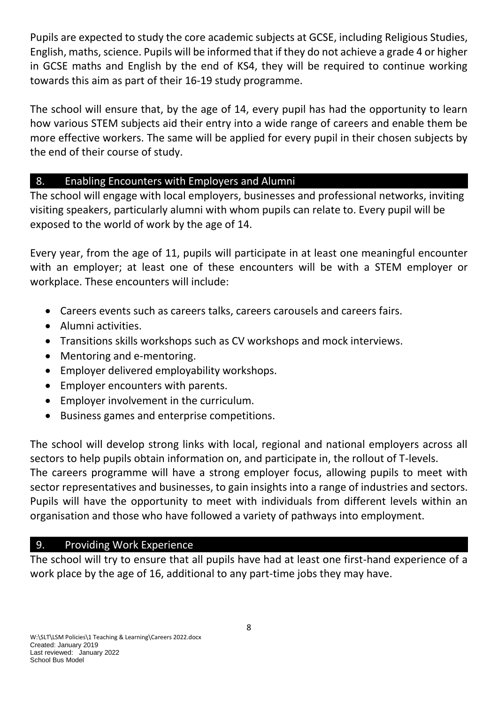Pupils are expected to study the core academic subjects at GCSE, including Religious Studies, English, maths, science. Pupils will be informed that if they do not achieve a grade 4 or higher in GCSE maths and English by the end of KS4, they will be required to continue working towards this aim as part of their 16-19 study programme.

The school will ensure that, by the age of 14, every pupil has had the opportunity to learn how various STEM subjects aid their entry into a wide range of careers and enable them be more effective workers. The same will be applied for every pupil in their chosen subjects by the end of their course of study.

## 8. Enabling Encounters with Employers and Alumni

The school will engage with local employers, businesses and professional networks, inviting visiting speakers, particularly alumni with whom pupils can relate to. Every pupil will be exposed to the world of work by the age of 14.

Every year, from the age of 11, pupils will participate in at least one meaningful encounter with an employer; at least one of these encounters will be with a STEM employer or workplace. These encounters will include:

- Careers events such as careers talks, careers carousels and careers fairs.
- Alumni activities.
- Transitions skills workshops such as CV workshops and mock interviews.
- Mentoring and e-mentoring.
- Employer delivered employability workshops.
- Employer encounters with parents.
- Employer involvement in the curriculum.
- Business games and enterprise competitions.

The school will develop strong links with local, regional and national employers across all sectors to help pupils obtain information on, and participate in, the rollout of T-levels. The careers programme will have a strong employer focus, allowing pupils to meet with sector representatives and businesses, to gain insights into a range of industries and sectors. Pupils will have the opportunity to meet with individuals from different levels within an organisation and those who have followed a variety of pathways into employment.

## 9. Providing Work Experience

The school will try to ensure that all pupils have had at least one first-hand experience of a work place by the age of 16, additional to any part-time jobs they may have.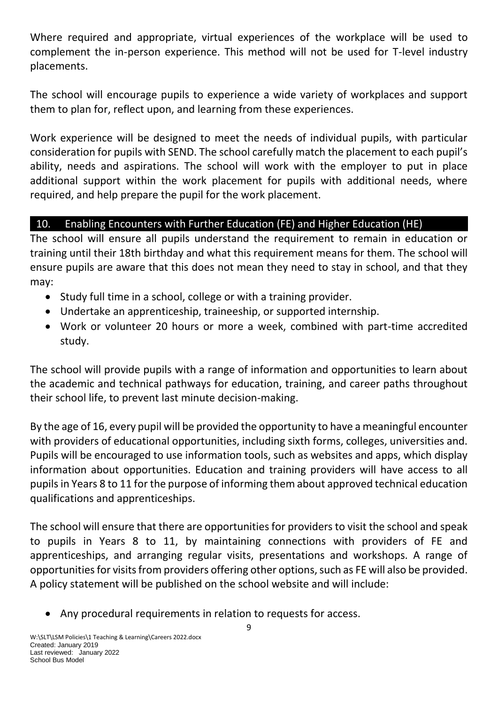Where required and appropriate, virtual experiences of the workplace will be used to complement the in-person experience. This method will not be used for T-level industry placements.

The school will encourage pupils to experience a wide variety of workplaces and support them to plan for, reflect upon, and learning from these experiences.

Work experience will be designed to meet the needs of individual pupils, with particular consideration for pupils with SEND. The school carefully match the placement to each pupil's ability, needs and aspirations. The school will work with the employer to put in place additional support within the work placement for pupils with additional needs, where required, and help prepare the pupil for the work placement.

# 10. Enabling Encounters with Further Education (FE) and Higher Education (HE)

The school will ensure all pupils understand the requirement to remain in education or training until their 18th birthday and what this requirement means for them. The school will ensure pupils are aware that this does not mean they need to stay in school, and that they may:

- Study full time in a school, college or with a training provider.
- Undertake an apprenticeship, traineeship, or supported internship.
- Work or volunteer 20 hours or more a week, combined with part-time accredited study.

The school will provide pupils with a range of information and opportunities to learn about the academic and technical pathways for education, training, and career paths throughout their school life, to prevent last minute decision-making.

By the age of 16, every pupil will be provided the opportunity to have a meaningful encounter with providers of educational opportunities, including sixth forms, colleges, universities and. Pupils will be encouraged to use information tools, such as websites and apps, which display information about opportunities. Education and training providers will have access to all pupils in Years 8 to 11 for the purpose of informing them about approved technical education qualifications and apprenticeships.

The school will ensure that there are opportunities for providers to visit the school and speak to pupils in Years 8 to 11, by maintaining connections with providers of FE and apprenticeships, and arranging regular visits, presentations and workshops. A range of opportunities for visits from providers offering other options, such as FE will also be provided. A policy statement will be published on the school website and will include:

Any procedural requirements in relation to requests for access.